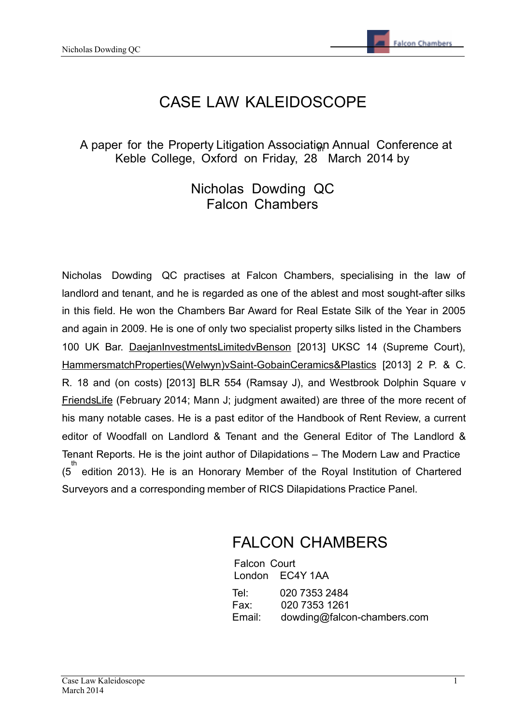# CASE LAW KALEIDOSCOPE

## A paper for the Property Litigation Association Annual Conference at Keble College, Oxford on Friday, 28 March 2014 by

## Nicholas Dowding QC Falcon Chambers

Nicholas Dowding QC practises at Falcon Chambers, specialising in the law of landlord and tenant, and he is regarded as one of the ablest and most sought-after silks in this field. He won the Chambers Bar Award for Real Estate Silk of the Year in 2005 and again in 2009. He is one of only two specialist property silks listed in the Chambers 100 UK Bar. DaejanInvestmentsLimitedvBenson [2013] UKSC 14 (Supreme Court), HammersmatchProperties(Welwyn)vSaint-GobainCeramics&Plastics [2013] 2 P. & C. R. 18 and (on costs) [2013] BLR 554 (Ramsay J), and Westbrook Dolphin Square v FriendsLife (February 2014; Mann J; judgment awaited) are three of the more recent of his many notable cases. He is a past editor of the Handbook of Rent Review, a current editor of Woodfall on Landlord & Tenant and the General Editor of The Landlord & Tenant Reports. He is the joint author of Dilapidations – The Modern Law and Practice (5<sup>th</sup> edition 2013). He is an Honorary Member of the Royal Institution of Chartered Surveyors and a corresponding member of RICS Dilapidations Practice Panel.

# FALCON CHAMBERS

Falcon Court London EC4Y 1AA Tel: 020 7353 2484 Fax: 020 7353 1261 Email: [dowding@falcon-chambers.com](mailto:dowding@falcon-chambers.com)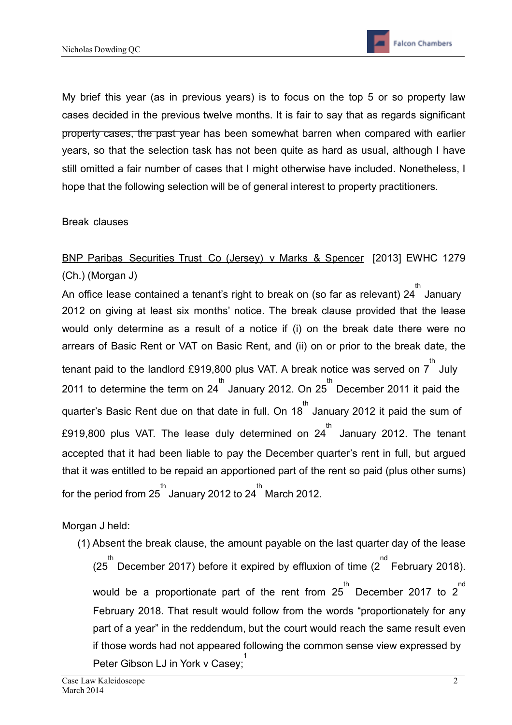

My brief this year (as in previous years) is to focus on the top 5 or so property law cases decided in the previous twelve months. It is fair to say that as regards significant property cases, the past year has been somewhat barren when compared with earlier years, so that the selection task has not been quite as hard as usual, although I have still omitted a fair number of cases that I might otherwise have included. Nonetheless, I hope that the following selection will be of general interest to property practitioners.

Break clauses

## BNP Paribas Securities Trust Co (Jersey) v Marks & Spencer [2013] EWHC 1279 (Ch.) (Morgan J)

h<br>An office lease contained a tenant's right to break on (so far as relevant) 24 <sup>th</sup> January 2012 on giving at least six months' notice. The break clause provided that the lease would only determine as a result of a notice if (i) on the break date there were no arrears of Basic Rent or VAT on Basic Rent, and (ii) on or prior to the break date, the tenant paid to the landlord £919,800 plus VAT. A break notice was served on  $7^{th}$  July 2011 to determine the term on 24<sup>th</sup> January 2012. On 25<sup>th</sup> December 2011 it paid the quarter's Basic Rent due on that date in full. On 18<sup>th</sup> January 2012 it paid the sum of £919,800 plus VAT. The lease duly determined on  $24^{th}$  January 2012. The tenant accepted that it had been liable to pay the December quarter's rent in full, but argued that it was entitled to be repaid an apportioned part of the rent so paid (plus other sums) for the period from 25 th January 2012 to 24 th March 2012.

#### Morgan J held:

(1) Absent the break clause, the amount payable on the last quarter day of the lease (25<sup>th</sup> December 2017) before it expired by effluxion of time (2<sup>nd</sup> February 2018). would be a proportionate part of the rent from  $25^{th}$  December 2017 to  $2^{nd}$ February 2018. That result would follow from the words "proportionately for any part of a year" in the reddendum, but the court would reach the same result even if those words had not appeared following the common sense view expressed by Peter Gibson LJ in York v Casey; 1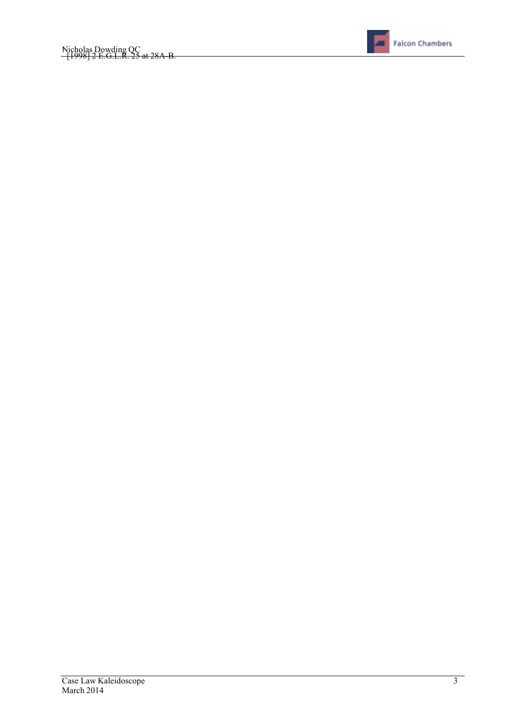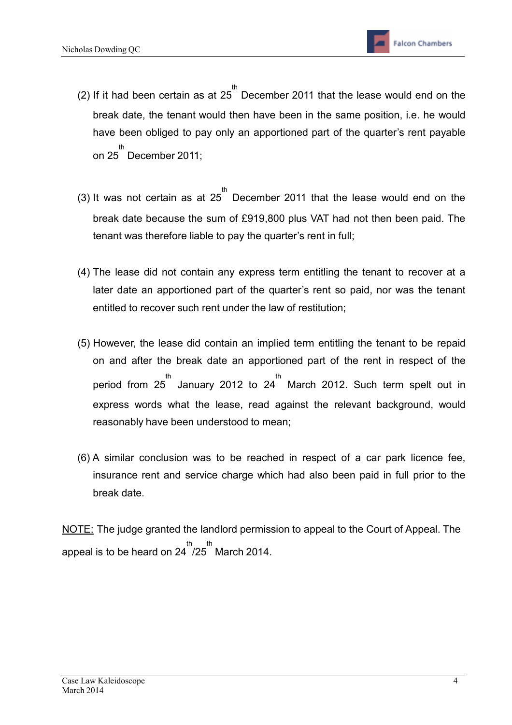- (2) If it had been certain as at  $25^{th}$  December 2011 that the lease would end on the break date, the tenant would then have been in the same position, i.e. he would have been obliged to pay only an apportioned part of the quarter's rent payable on 25 th December 2011;
- (3) It was not certain as at 25<sup>th</sup> December 2011 that the lease would end on the break date because the sum of £919,800 plus VAT had not then been paid. The tenant was therefore liable to pay the quarter's rent in full;
- (4) The lease did not contain any express term entitling the tenant to recover at a later date an apportioned part of the quarter's rent so paid, nor was the tenant entitled to recover such rent under the law of restitution;
- (5) However, the lease did contain an implied term entitling the tenant to be repaid on and after the break date an apportioned part of the rent in respect of the period from 25<sup>th</sup> January 2012 to 24<sup>th</sup> March 2012. Such term spelt out in express words what the lease, read against the relevant background, would reasonably have been understood to mean;
- (6) A similar conclusion was to be reached in respect of a car park licence fee, insurance rent and service charge which had also been paid in full prior to the break date.
- NOTE: The judge granted the landlord permission to appeal to the Court of Appeal. The appeal is to be heard on 24<sup>' th</sup> March 2014.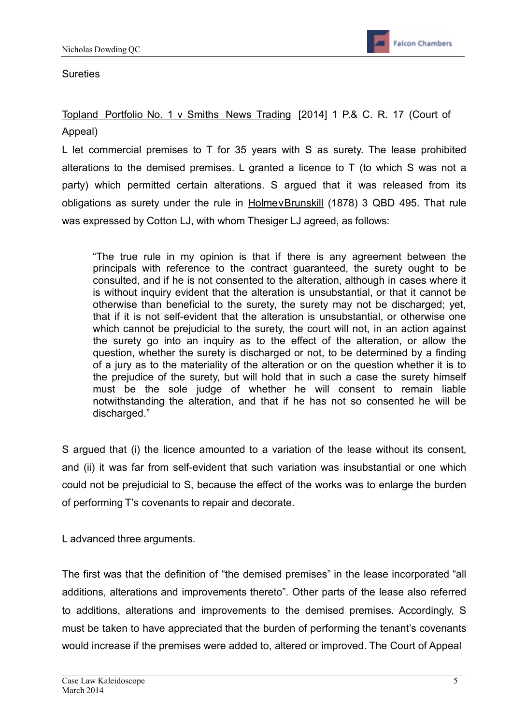## **Sureties**

Topland Portfolio No. 1 v Smiths News Trading [2014] 1 P.& C. R. 17 (Court of Appeal)

L let commercial premises to T for 35 years with S as surety. The lease prohibited alterations to the demised premises. L granted a licence to T (to which S was not a party) which permitted certain alterations. S argued that it was released from its obligations as surety under the rule in HolmevBrunskill (1878) 3 QBD 495. That rule was expressed by Cotton LJ, with whom Thesiger LJ agreed, as follows:

"The true rule in my opinion is that if there is any agreement between the principals with reference to the contract guaranteed, the surety ought to be consulted, and if he is not consented to the alteration, although in cases where it is without inquiry evident that the alteration is unsubstantial, or that it cannot be otherwise than beneficial to the surety, the surety may not be discharged; yet, that if it is not self-evident that the alteration is unsubstantial, or otherwise one which cannot be prejudicial to the surety, the court will not, in an action against the surety go into an inquiry as to the effect of the alteration, or allow the question, whether the surety is discharged or not, to be determined by a finding of a jury as to the materiality of the alteration or on the question whether it is to the prejudice of the surety, but will hold that in such a case the surety himself must be the sole judge of whether he will consent to remain liable notwithstanding the alteration, and that if he has not so consented he will be discharged."

S argued that (i) the licence amounted to a variation of the lease without its consent, and (ii) it was far from self-evident that such variation was insubstantial or one which could not be prejudicial to S, because the effect of the works was to enlarge the burden of performing T's covenants to repair and decorate.

L advanced three arguments.

The first was that the definition of "the demised premises" in the lease incorporated "all additions, alterations and improvements thereto". Other parts of the lease also referred to additions, alterations and improvements to the demised premises. Accordingly, S must be taken to have appreciated that the burden of performing the tenant's covenants would increase if the premises were added to, altered or improved. The Court of Appeal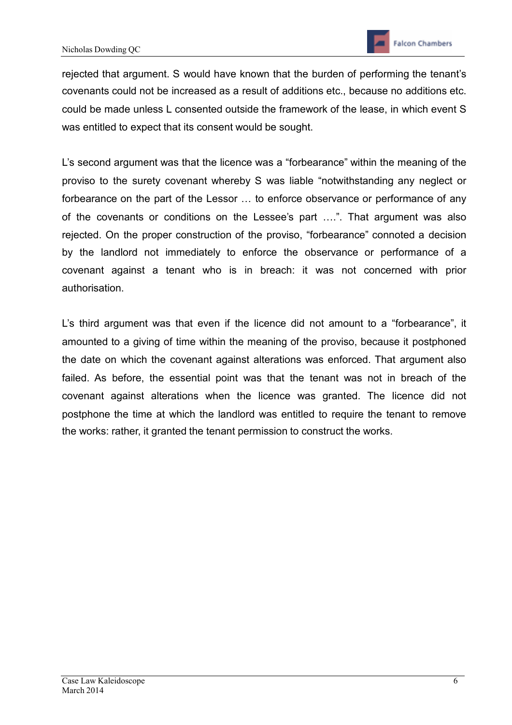rejected that argument. S would have known that the burden of performing the tenant's covenants could not be increased as a result of additions etc., because no additions etc. could be made unless L consented outside the framework of the lease, in which event S was entitled to expect that its consent would be sought.

L's second argument was that the licence was a "forbearance" within the meaning of the proviso to the surety covenant whereby S was liable "notwithstanding any neglect or forbearance on the part of the Lessor … to enforce observance or performance of any of the covenants or conditions on the Lessee's part ….". That argument was also rejected. On the proper construction of the proviso, "forbearance" connoted a decision by the landlord not immediately to enforce the observance or performance of a covenant against a tenant who is in breach: it was not concerned with prior authorisation.

L's third argument was that even if the licence did not amount to a "forbearance", it amounted to a giving of time within the meaning of the proviso, because it postphoned the date on which the covenant against alterations was enforced. That argument also failed. As before, the essential point was that the tenant was not in breach of the covenant against alterations when the licence was granted. The licence did not postphone the time at which the landlord was entitled to require the tenant to remove the works: rather, it granted the tenant permission to construct the works.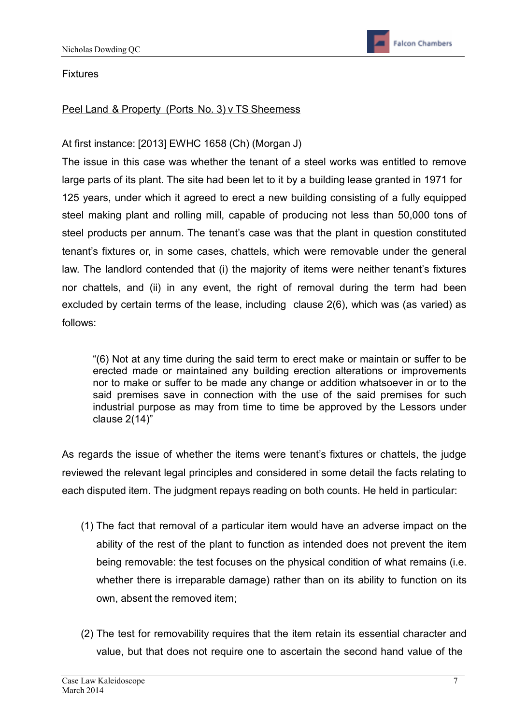Fixtures

## Peel Land & Property (Ports No. 3) v TS Sheerness

## At first instance: [2013] EWHC 1658 (Ch) (Morgan J)

The issue in this case was whether the tenant of a steel works was entitled to remove large parts of its plant. The site had been let to it by a building lease granted in 1971 for 125 years, under which it agreed to erect a new building consisting of a fully equipped steel making plant and rolling mill, capable of producing not less than 50,000 tons of steel products per annum. The tenant's case was that the plant in question constituted tenant's fixtures or, in some cases, chattels, which were removable under the general law. The landlord contended that (i) the majority of items were neither tenant's fixtures nor chattels, and (ii) in any event, the right of removal during the term had been excluded by certain terms of the lease, including clause 2(6), which was (as varied) as follows:

"(6) Not at any time during the said term to erect make or maintain or suffer to be erected made or maintained any building erection alterations or improvements nor to make or suffer to be made any change or addition whatsoever in or to the said premises save in connection with the use of the said premises for such industrial purpose as may from time to time be approved by the Lessors under clause 2(14)"

As regards the issue of whether the items were tenant's fixtures or chattels, the judge reviewed the relevant legal principles and considered in some detail the facts relating to each disputed item. The judgment repays reading on both counts. He held in particular:

- (1) The fact that removal of a particular item would have an adverse impact on the ability of the rest of the plant to function as intended does not prevent the item being removable: the test focuses on the physical condition of what remains (i.e. whether there is irreparable damage) rather than on its ability to function on its own, absent the removed item;
- (2) The test for removability requires that the item retain its essential character and value, but that does not require one to ascertain the second hand value of the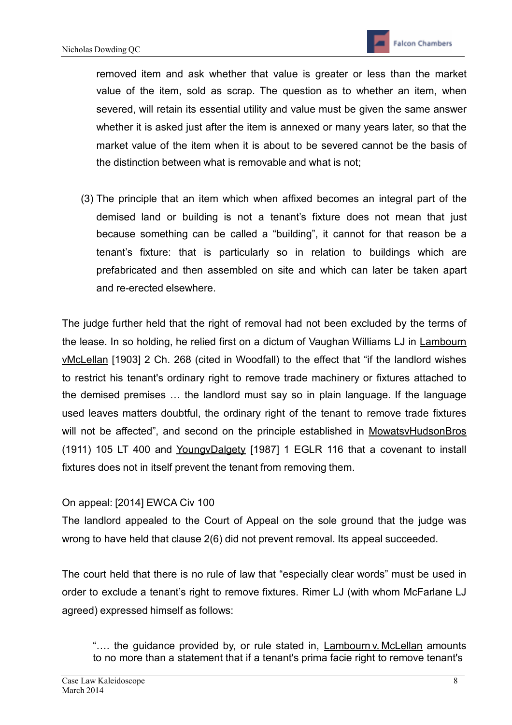removed item and ask whether that value is greater or less than the market value of the item, sold as scrap. The question as to whether an item, when severed, will retain its essential utility and value must be given the same answer whether it is asked just after the item is annexed or many years later, so that the market value of the item when it is about to be severed cannot be the basis of the distinction between what is removable and what is not;

(3) The principle that an item which when affixed becomes an integral part of the demised land or building is not a tenant's fixture does not mean that just because something can be called a "building", it cannot for that reason be a tenant's fixture: that is particularly so in relation to buildings which are prefabricated and then assembled on site and which can later be taken apart and re-erected elsewhere.

The judge further held that the right of removal had not been excluded by the terms of the lease. In so holding, he relied first on a dictum of Vaughan Williams LJ in Lambourn vMcLellan [1903] 2 Ch. 268 (cited in Woodfall) to the effect that "if the landlord wishes to restrict his tenant's ordinary right to remove trade machinery or fixtures attached to the demised premises … the landlord must say so in plain language. If the language used leaves matters doubtful, the ordinary right of the tenant to remove trade fixtures will not be affected", and second on the principle established in MowatsvHudsonBros (1911) 105 LT 400 and YoungvDalgety [1987] 1 EGLR 116 that a covenant to install fixtures does not in itself prevent the tenant from removing them.

## On appeal: [2014] EWCA Civ 100

The landlord appealed to the Court of Appeal on the sole ground that the judge was wrong to have held that clause 2(6) did not prevent removal. Its appeal succeeded.

The court held that there is no rule of law that "especially clear words" must be used in order to exclude a tenant's right to remove fixtures. Rimer LJ (with whom McFarlane LJ agreed) expressed himself as follows:

<sup>&</sup>quot;…. the guidance provided by, or rule stated in, Lambourn v. McLellan amounts to no more than a statement that if a tenant's prima facie right to remove tenant's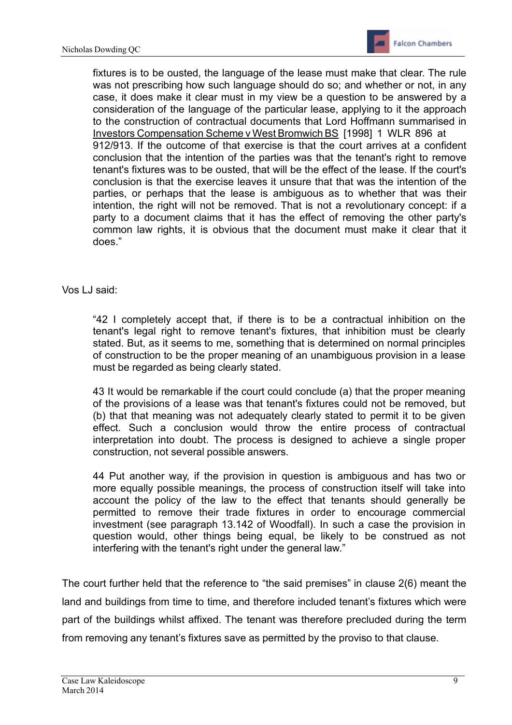

fixtures is to be ousted, the language of the lease must make that clear. The rule was not prescribing how such language should do so; and whether or not, in any case, it does make it clear must in my view be a question to be answered by a consideration of the language of the particular lease, applying to it the approach to the construction of contractual documents that Lord Hoffmann summarised in Investors Compensation Scheme v West Bromwich BS [1998] 1 WLR 896 at 912/913. If the outcome of that exercise is that the court arrives at a confident conclusion that the intention of the parties was that the tenant's right to remove tenant's fixtures was to be ousted, that will be the effect of the lease. If the court's conclusion is that the exercise leaves it unsure that that was the intention of the parties, or perhaps that the lease is ambiguous as to whether that was their intention, the right will not be removed. That is not a revolutionary concept: if a party to a document claims that it has the effect of removing the other party's common law rights, it is obvious that the document must make it clear that it does."

#### Vos LJ said:

"42 I completely accept that, if there is to be a contractual inhibition on the tenant's legal right to remove tenant's fixtures, that inhibition must be clearly stated. But, as it seems to me, something that is determined on normal principles of construction to be the proper meaning of an unambiguous provision in a lease must be regarded as being clearly stated.

43 It would be remarkable if the court could conclude (a) that the proper meaning of the provisions of a lease was that tenant's fixtures could not be removed, but (b) that that meaning was not adequately clearly stated to permit it to be given effect. Such a conclusion would throw the entire process of contractual interpretation into doubt. The process is designed to achieve a single proper construction, not several possible answers.

44 Put another way, if the provision in question is ambiguous and has two or more equally possible meanings, the process of construction itself will take into account the policy of the law to the effect that tenants should generally be permitted to remove their trade fixtures in order to encourage commercial investment (see paragraph 13.142 of Woodfall). In such a case the provision in question would, other things being equal, be likely to be construed as not interfering with the tenant's right under the general law."

The court further held that the reference to "the said premises" in clause 2(6) meant the land and buildings from time to time, and therefore included tenant's fixtures which were part of the buildings whilst affixed. The tenant was therefore precluded during the term from removing any tenant's fixtures save as permitted by the proviso to that clause.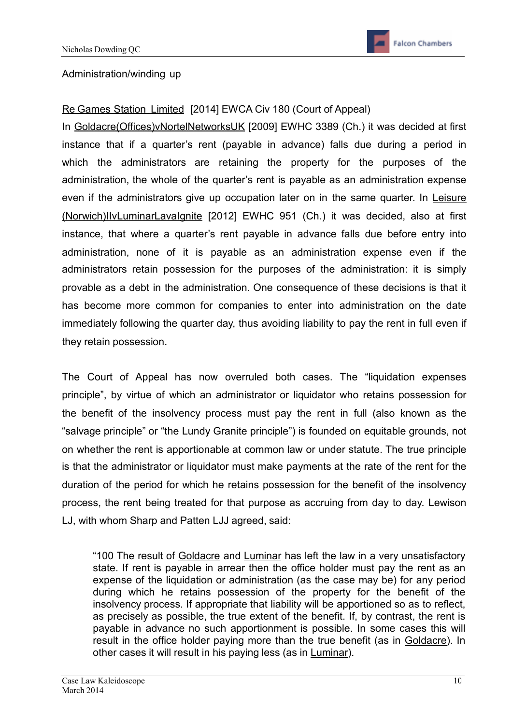## Administration/winding up

## Re Games Station Limited [2014] EWCA Civ 180 (Court of Appeal)

In Goldacre(Offices)vNortelNetworksUK [2009] EWHC 3389 (Ch.) it was decided at first instance that if a quarter's rent (payable in advance) falls due during a period in which the administrators are retaining the property for the purposes of the administration, the whole of the quarter's rent is payable as an administration expense even if the administrators give up occupation later on in the same quarter. In Leisure (Norwich)IIvLuminarLavaIgnite [2012] EWHC 951 (Ch.) it was decided, also at first instance, that where a quarter's rent payable in advance falls due before entry into administration, none of it is payable as an administration expense even if the administrators retain possession for the purposes of the administration: it is simply provable as a debt in the administration. One consequence of these decisions is that it has become more common for companies to enter into administration on the date immediately following the quarter day, thus avoiding liability to pay the rent in full even if they retain possession.

The Court of Appeal has now overruled both cases. The "liquidation expenses principle", by virtue of which an administrator or liquidator who retains possession for the benefit of the insolvency process must pay the rent in full (also known as the "salvage principle" or "the Lundy Granite principle") is founded on equitable grounds, not on whether the rent is apportionable at common law or under statute. The true principle is that the administrator or liquidator must make payments at the rate of the rent for the duration of the period for which he retains possession for the benefit of the insolvency process, the rent being treated for that purpose as accruing from day to day. Lewison LJ, with whom Sharp and Patten LJJ agreed, said:

"100 The result of Goldacre and Luminar has left the law in a very unsatisfactory state. If rent is payable in arrear then the office holder must pay the rent as an expense of the liquidation or administration (as the case may be) for any period during which he retains possession of the property for the benefit of the insolvency process. If appropriate that liability will be apportioned so as to reflect, as precisely as possible, the true extent of the benefit. If, by contrast, the rent is payable in advance no such apportionment is possible. In some cases this will result in the office holder paying more than the true benefit (as in Goldacre). In other cases it will result in his paying less (as in Luminar).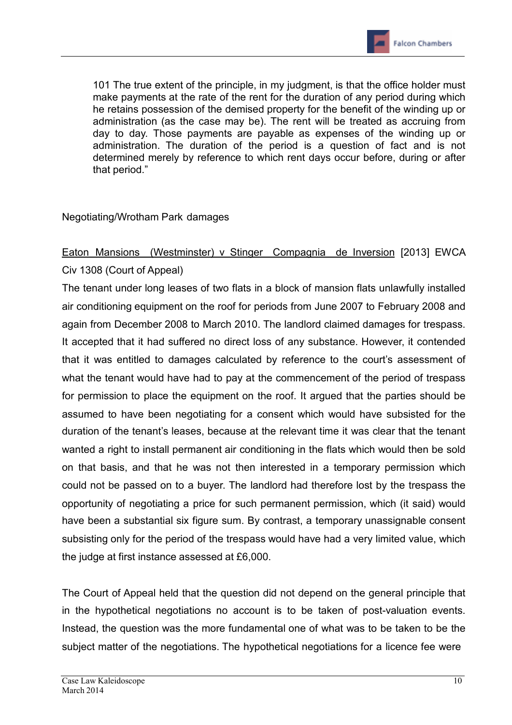101 The true extent of the principle, in my judgment, is that the office holder must make payments at the rate of the rent for the duration of any period during which he retains possession of the demised property for the benefit of the winding up or administration (as the case may be). The rent will be treated as accruing from day to day. Those payments are payable as expenses of the winding up or administration. The duration of the period is a question of fact and is not determined merely by reference to which rent days occur before, during or after that period."

## Negotiating/Wrotham Park damages

## Eaton Mansions (Westminster) v Stinger Compagnia de Inversion [2013] EWCA Civ 1308 (Court of Appeal)

The tenant under long leases of two flats in a block of mansion flats unlawfully installed air conditioning equipment on the roof for periods from June 2007 to February 2008 and again from December 2008 to March 2010. The landlord claimed damages for trespass. It accepted that it had suffered no direct loss of any substance. However, it contended that it was entitled to damages calculated by reference to the court's assessment of what the tenant would have had to pay at the commencement of the period of trespass for permission to place the equipment on the roof. It argued that the parties should be assumed to have been negotiating for a consent which would have subsisted for the duration of the tenant's leases, because at the relevant time it was clear that the tenant wanted a right to install permanent air conditioning in the flats which would then be sold on that basis, and that he was not then interested in a temporary permission which could not be passed on to a buyer. The landlord had therefore lost by the trespass the opportunity of negotiating a price for such permanent permission, which (it said) would have been a substantial six figure sum. By contrast, a temporary unassignable consent subsisting only for the period of the trespass would have had a very limited value, which the judge at first instance assessed at £6,000.

The Court of Appeal held that the question did not depend on the general principle that in the hypothetical negotiations no account is to be taken of post-valuation events. Instead, the question was the more fundamental one of what was to be taken to be the subject matter of the negotiations. The hypothetical negotiations for a licence fee were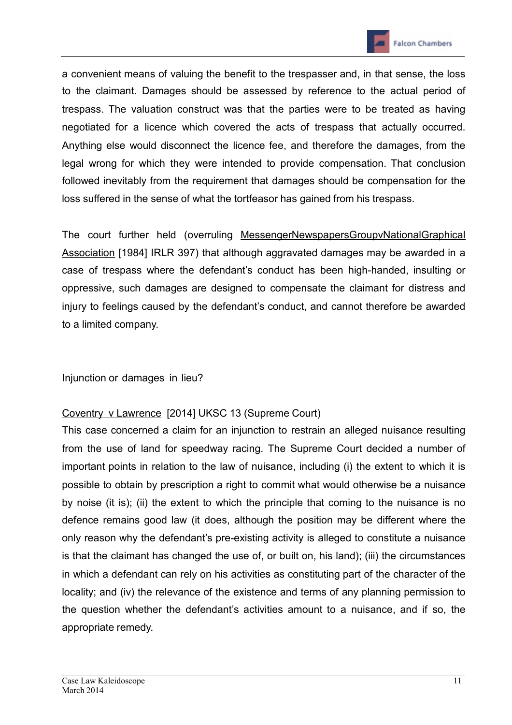

a convenient means of valuing the benefit to the trespasser and, in that sense, the loss to the claimant. Damages should be assessed by reference to the actual period of trespass. The valuation construct was that the parties were to be treated as having negotiated for a licence which covered the acts of trespass that actually occurred. Anything else would disconnect the licence fee, and therefore the damages, from the legal wrong for which they were intended to provide compensation. That conclusion followed inevitably from the requirement that damages should be compensation for the loss suffered in the sense of what the tortfeasor has gained from his trespass.

The court further held (overruling MessengerNewspapersGroupvNationalGraphical Association [1984] IRLR 397) that although aggravated damages may be awarded in a case of trespass where the defendant's conduct has been high-handed, insulting or oppressive, such damages are designed to compensate the claimant for distress and injury to feelings caused by the defendant's conduct, and cannot therefore be awarded to a limited company.

Injunction or damages in lieu?

## Coventry v Lawrence [2014] UKSC 13 (Supreme Court)

This case concerned a claim for an injunction to restrain an alleged nuisance resulting from the use of land for speedway racing. The Supreme Court decided a number of important points in relation to the law of nuisance, including (i) the extent to which it is possible to obtain by prescription a right to commit what would otherwise be a nuisance by noise (it is); (ii) the extent to which the principle that coming to the nuisance is no defence remains good law (it does, although the position may be different where the only reason why the defendant's pre-existing activity is alleged to constitute a nuisance is that the claimant has changed the use of, or built on, his land); (iii) the circumstances in which a defendant can rely on his activities as constituting part of the character of the locality; and (iv) the relevance of the existence and terms of any planning permission to the question whether the defendant's activities amount to a nuisance, and if so, the appropriate remedy.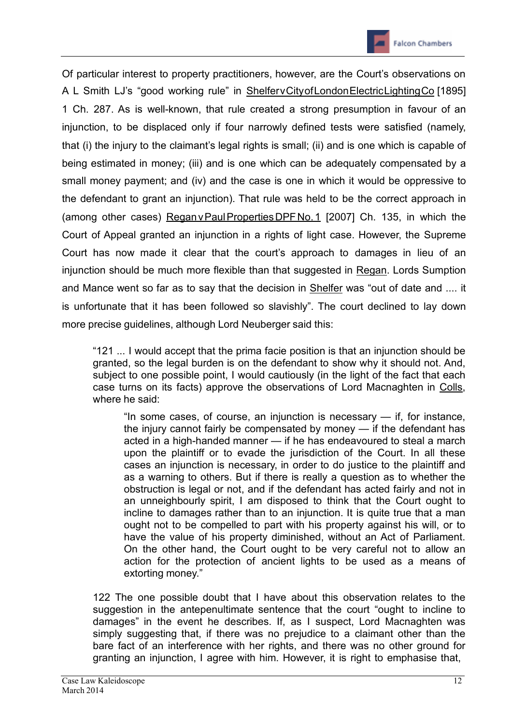

Of particular interest to property practitioners, however, are the Court's observations on A L Smith LJ's "good working rule" in ShelfervCityofLondonElectricLightingCo [1895] 1 Ch. 287. As is well-known, that rule created a strong presumption in favour of an injunction, to be displaced only if four narrowly defined tests were satisfied (namely, that (i) the injury to the claimant's legal rights is small; (ii) and is one which is capable of being estimated in money; (iii) and is one which can be adequately compensated by a small money payment; and (iv) and the case is one in which it would be oppressive to the defendant to grant an injunction). That rule was held to be the correct approach in (among other cases) ReganvPaulPropertiesDPFNo.1 [2007] Ch. 135, in which the Court of Appeal granted an injunction in a rights of light case. However, the Supreme Court has now made it clear that the court's approach to damages in lieu of an injunction should be much more flexible than that suggested in Regan. Lords Sumption and Mance went so far as to say that the decision in Shelfer was "out of date and .... it is unfortunate that it has been followed so slavishly". The court declined to lay down more precise guidelines, although Lord Neuberger said this:

"121 ... I would accept that the prima facie position is that an injunction should be granted, so the legal burden is on the defendant to show why it should not. And, subject to one possible point, I would cautiously (in the light of the fact that each case turns on its facts) approve the observations of Lord Macnaghten in Colls, where he said:

"In some cases, of course, an injunction is necessary — if, for instance, the injury cannot fairly be compensated by money — if the defendant has acted in a high-handed manner — if he has endeavoured to steal a march upon the plaintiff or to evade the jurisdiction of the Court. In all these cases an injunction is necessary, in order to do justice to the plaintiff and as a warning to others. But if there is really a question as to whether the obstruction is legal or not, and if the defendant has acted fairly and not in an unneighbourly spirit, I am disposed to think that the Court ought to incline to damages rather than to an injunction. It is quite true that a man ought not to be compelled to part with his property against his will, or to have the value of his property diminished, without an Act of Parliament. On the other hand, the Court ought to be very careful not to allow an action for the protection of ancient lights to be used as a means of extorting money."

122 The one possible doubt that I have about this observation relates to the suggestion in the antepenultimate sentence that the court "ought to incline to damages" in the event he describes. If, as I suspect, Lord Macnaghten was simply suggesting that, if there was no prejudice to a claimant other than the bare fact of an interference with her rights, and there was no other ground for granting an injunction, I agree with him. However, it is right to emphasise that,